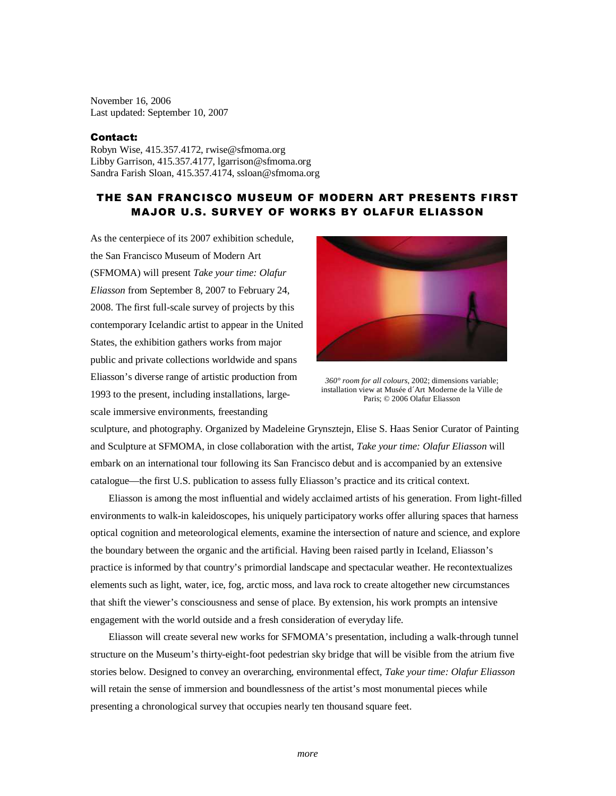November 16, 2006 Last updated: September 10, 2007

## Contact:

Robyn Wise, 415.357.4172, rwise@sfmoma.org Libby Garrison, 415.357.4177, lgarrison@sfmoma.org Sandra Farish Sloan, 415.357.4174, ssloan@sfmoma.org

## THE SAN FRANCISCO MUSEUM OF MODERN ART PRESENTS FIRST MAJOR U.S. SURVEY OF WORKS BY OLAFUR ELIASSON

As the centerpiece of its 2007 exhibition schedule, the San Francisco Museum of Modern Art (SFMOMA) will present *Take your time: Olafur Eliasson* from September 8, 2007 to February 24, 2008. The first full-scale survey of projects by this contemporary Icelandic artist to appear in the United States, the exhibition gathers works from major public and private collections worldwide and spans Eliasson's diverse range of artistic production from 1993 to the present, including installations, largescale immersive environments, freestanding



*360° room for all colours*, 2002; dimensions variable; installation view at Musée d´Art Moderne de la Ville de Paris; © 2006 Olafur Eliasson

sculpture, and photography. Organized by Madeleine Grynsztejn, Elise S. Haas Senior Curator of Painting and Sculpture at SFMOMA, in close collaboration with the artist, *Take your time: Olafur Eliasson* will embark on an international tour following its San Francisco debut and is accompanied by an extensive catalogue—the first U.S. publication to assess fully Eliasson's practice and its critical context.

Eliasson is among the most influential and widely acclaimed artists of his generation. From light-filled environments to walk-in kaleidoscopes, his uniquely participatory works offer alluring spaces that harness optical cognition and meteorological elements, examine the intersection of nature and science, and explore the boundary between the organic and the artificial. Having been raised partly in Iceland, Eliasson's practice is informed by that country's primordial landscape and spectacular weather. He recontextualizes elements such as light, water, ice, fog, arctic moss, and lava rock to create altogether new circumstances that shift the viewer's consciousness and sense of place. By extension, his work prompts an intensive engagement with the world outside and a fresh consideration of everyday life.

 Eliasson will create several new works for SFMOMA's presentation, including a walk-through tunnel structure on the Museum's thirty-eight-foot pedestrian sky bridge that will be visible from the atrium five stories below. Designed to convey an overarching, environmental effect, *Take your time: Olafur Eliasson* will retain the sense of immersion and boundlessness of the artist's most monumental pieces while presenting a chronological survey that occupies nearly ten thousand square feet.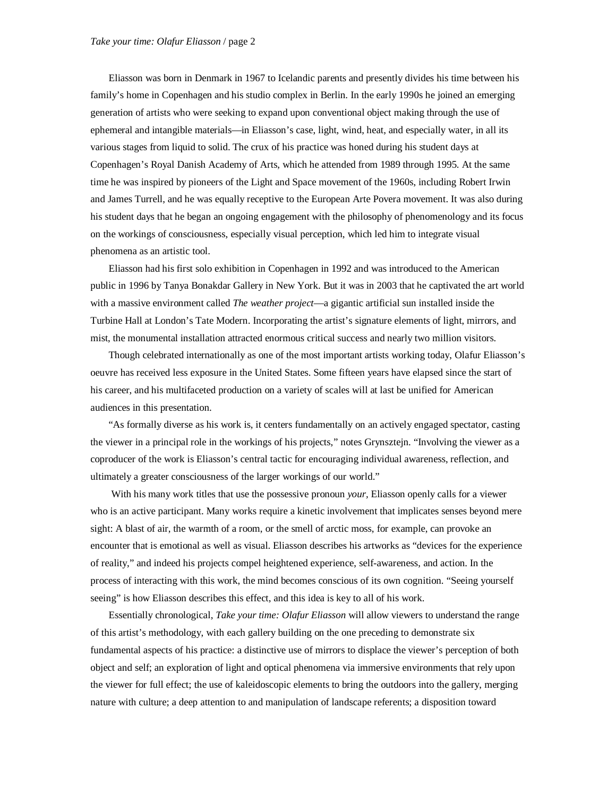Eliasson was born in Denmark in 1967 to Icelandic parents and presently divides his time between his family's home in Copenhagen and his studio complex in Berlin. In the early 1990s he joined an emerging generation of artists who were seeking to expand upon conventional object making through the use of ephemeral and intangible materials—in Eliasson's case, light, wind, heat, and especially water, in all its various stages from liquid to solid. The crux of his practice was honed during his student days at Copenhagen's Royal Danish Academy of Arts, which he attended from 1989 through 1995. At the same time he was inspired by pioneers of the Light and Space movement of the 1960s, including Robert Irwin and James Turrell, and he was equally receptive to the European Arte Povera movement. It was also during his student days that he began an ongoing engagement with the philosophy of phenomenology and its focus on the workings of consciousness, especially visual perception, which led him to integrate visual phenomena as an artistic tool.

Eliasson had his first solo exhibition in Copenhagen in 1992 and was introduced to the American public in 1996 by Tanya Bonakdar Gallery in New York. But it was in 2003 that he captivated the art world with a massive environment called *The weather project*—a gigantic artificial sun installed inside the Turbine Hall at London's Tate Modern. Incorporating the artist's signature elements of light, mirrors, and mist, the monumental installation attracted enormous critical success and nearly two million visitors.

Though celebrated internationally as one of the most important artists working today, Olafur Eliasson's oeuvre has received less exposure in the United States. Some fifteen years have elapsed since the start of his career, and his multifaceted production on a variety of scales will at last be unified for American audiences in this presentation.

"As formally diverse as his work is, it centers fundamentally on an actively engaged spectator, casting the viewer in a principal role in the workings of his projects," notes Grynsztejn. "Involving the viewer as a coproducer of the work is Eliasson's central tactic for encouraging individual awareness, reflection, and ultimately a greater consciousness of the larger workings of our world."

 With his many work titles that use the possessive pronoun *your,* Eliasson openly calls for a viewer who is an active participant. Many works require a kinetic involvement that implicates senses beyond mere sight: A blast of air, the warmth of a room, or the smell of arctic moss, for example, can provoke an encounter that is emotional as well as visual. Eliasson describes his artworks as "devices for the experience of reality," and indeed his projects compel heightened experience, self-awareness, and action. In the process of interacting with this work, the mind becomes conscious of its own cognition. "Seeing yourself seeing" is how Eliasson describes this effect, and this idea is key to all of his work.

Essentially chronological, *Take your time: Olafur Eliasson* will allow viewers to understand the range of this artist's methodology, with each gallery building on the one preceding to demonstrate six fundamental aspects of his practice: a distinctive use of mirrors to displace the viewer's perception of both object and self; an exploration of light and optical phenomena via immersive environments that rely upon the viewer for full effect; the use of kaleidoscopic elements to bring the outdoors into the gallery, merging nature with culture; a deep attention to and manipulation of landscape referents; a disposition toward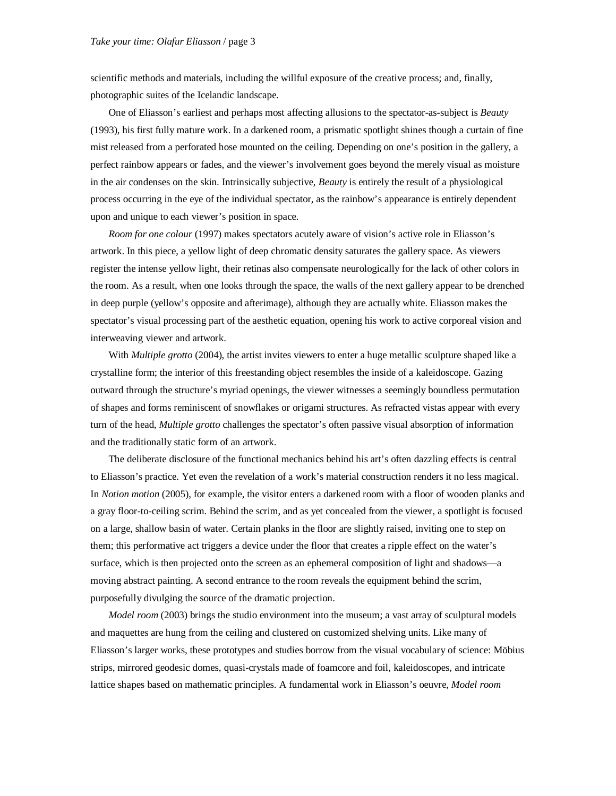scientific methods and materials, including the willful exposure of the creative process; and, finally, photographic suites of the Icelandic landscape.

 One of Eliasson's earliest and perhaps most affecting allusions to the spectator-as-subject is *Beauty*  (1993), his first fully mature work. In a darkened room, a prismatic spotlight shines though a curtain of fine mist released from a perforated hose mounted on the ceiling. Depending on one's position in the gallery, a perfect rainbow appears or fades, and the viewer's involvement goes beyond the merely visual as moisture in the air condenses on the skin. Intrinsically subjective, *Beauty* is entirely the result of a physiological process occurring in the eye of the individual spectator, as the rainbow's appearance is entirely dependent upon and unique to each viewer's position in space.

*Room for one colour* (1997) makes spectators acutely aware of vision's active role in Eliasson's artwork. In this piece, a yellow light of deep chromatic density saturates the gallery space. As viewers register the intense yellow light, their retinas also compensate neurologically for the lack of other colors in the room. As a result, when one looks through the space, the walls of the next gallery appear to be drenched in deep purple (yellow's opposite and afterimage), although they are actually white. Eliasson makes the spectator's visual processing part of the aesthetic equation, opening his work to active corporeal vision and interweaving viewer and artwork.

With *Multiple grotto* (2004), the artist invites viewers to enter a huge metallic sculpture shaped like a crystalline form; the interior of this freestanding object resembles the inside of a kaleidoscope. Gazing outward through the structure's myriad openings, the viewer witnesses a seemingly boundless permutation of shapes and forms reminiscent of snowflakes or origami structures. As refracted vistas appear with every turn of the head, *Multiple grotto* challenges the spectator's often passive visual absorption of information and the traditionally static form of an artwork.

The deliberate disclosure of the functional mechanics behind his art's often dazzling effects is central to Eliasson's practice. Yet even the revelation of a work's material construction renders it no less magical. In *Notion motion* (2005), for example, the visitor enters a darkened room with a floor of wooden planks and a gray floor-to-ceiling scrim. Behind the scrim, and as yet concealed from the viewer, a spotlight is focused on a large, shallow basin of water. Certain planks in the floor are slightly raised, inviting one to step on them; this performative act triggers a device under the floor that creates a ripple effect on the water's surface, which is then projected onto the screen as an ephemeral composition of light and shadows—a moving abstract painting. A second entrance to the room reveals the equipment behind the scrim, purposefully divulging the source of the dramatic projection.

*Model room* (2003) brings the studio environment into the museum; a vast array of sculptural models and maquettes are hung from the ceiling and clustered on customized shelving units. Like many of Eliasson's larger works, these prototypes and studies borrow from the visual vocabulary of science: Möbius strips, mirrored geodesic domes, quasi-crystals made of foamcore and foil, kaleidoscopes, and intricate lattice shapes based on mathematic principles. A fundamental work in Eliasson's oeuvre, *Model room*